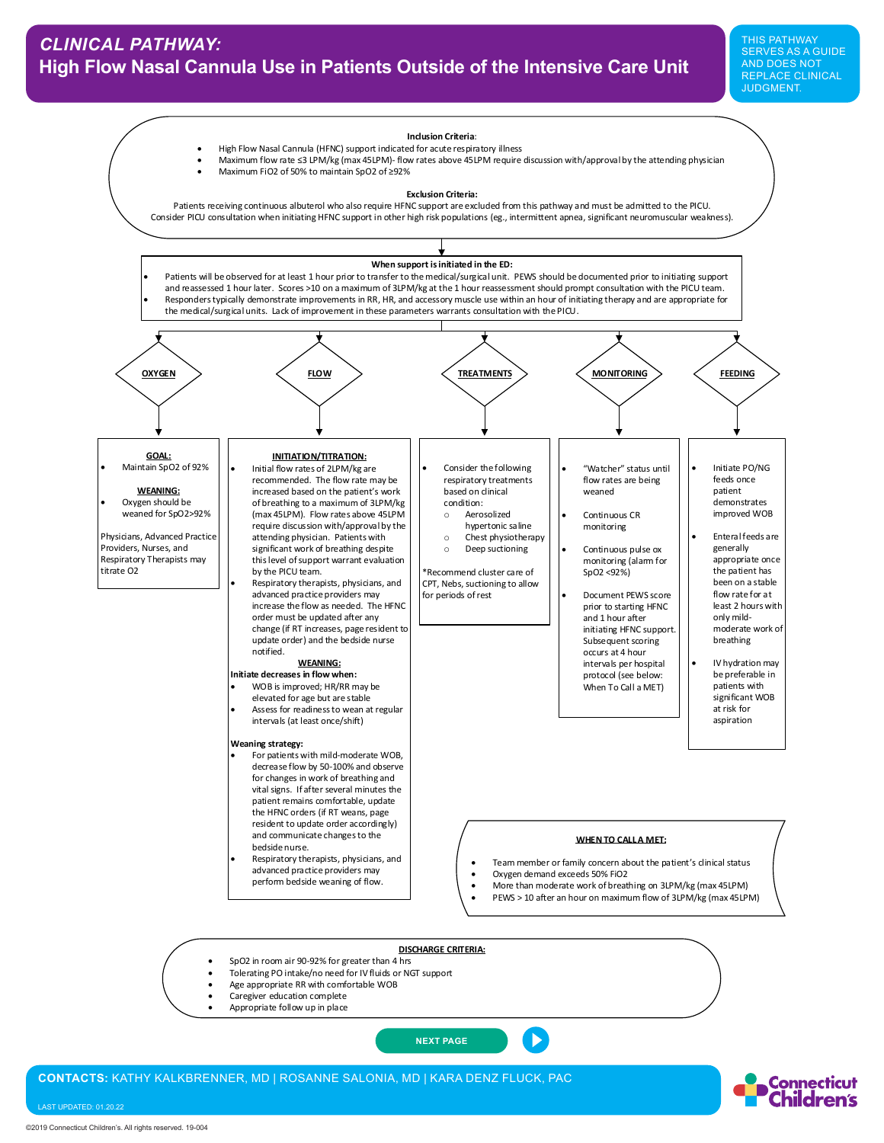

- Age appropriate RR with comfortable WOB
- Caregiver education complete
- Appropriate follow up in place

**[NEXT PAGE](#page-1-0)**

**CONTACTS:** KATHY KALKBRENNER, MD | ROSANNE SALONIA, MD | KARA DENZ FLUCK, PAC

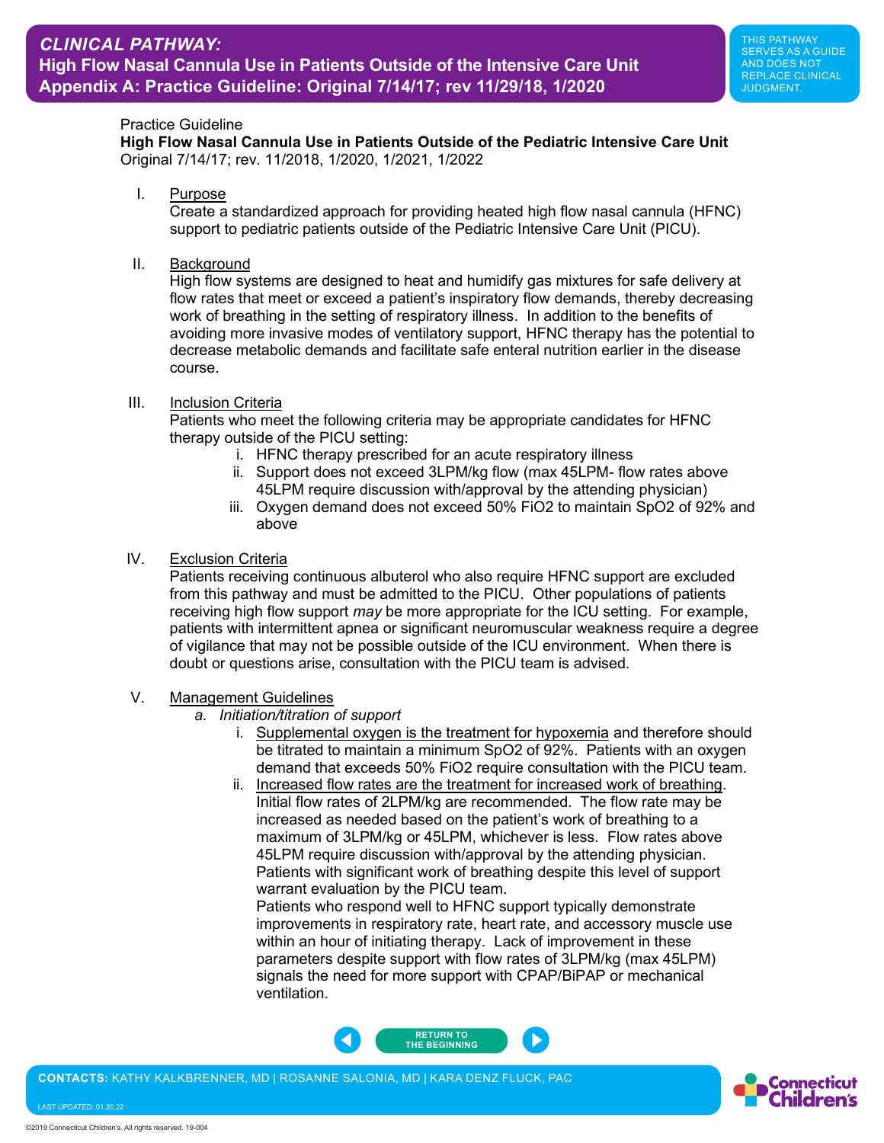## <span id="page-1-0"></span>Practice Guideline

**High Flow Nasal Cannula Use in Patients Outside of the Pediatric Intensive Care Unit** Original 7/14/17; rev. 11/2018, 1/2020, 1/2021, 1/2022

I. Purpose

Create a standardized approach for providing heated high flow nasal cannula (HFNC) support to pediatric patients outside of the Pediatric Intensive Care Unit (PICU).

II. Background

High flow systems are designed to heat and humidify gas mixtures for safe delivery at flow rates that meet or exceed a patient's inspiratory flow demands, thereby decreasing work of breathing in the setting of respiratory illness. In addition to the benefits of avoiding more invasive modes of ventilatory support, HFNC therapy has the potential to decrease metabolic demands and facilitate safe enteral nutrition earlier in the disease course.

## III. Inclusion Criteria

Patients who meet the following criteria may be appropriate candidates for HFNC therapy outside of the PICU setting:

- i. HFNC therapy prescribed for an acute respiratory illness
- ii. Support does not exceed 3LPM/kg flow (max 45LPM- flow rates above 45LPM require discussion with/approval by the attending physician)
- iii. Oxygen demand does not exceed 50% FiO2 to maintain SpO2 of 92% and above

## IV. Exclusion Criteria

Patients receiving continuous albuterol who also require HFNC support are excluded from this pathway and must be admitted to the PICU. Other populations of patients receiving high flow support *may* be more appropriate for the ICU setting. For example, patients with intermittent apnea or significant neuromuscular weakness require a degree of vigilance that may not be possible outside of the ICU environment. When there is doubt or questions arise, consultation with the PICU team is advised.

- V. Management Guidelines
	- *a. Initiation/titration of support*
		- i. Supplemental oxygen is the treatment for hypoxemia and therefore should be titrated to maintain a minimum SpO2 of 92%. Patients with an oxygen demand that exceeds 50% FiO2 require consultation with the PICU team.
		- ii. Increased flow rates are the treatment for increased work of breathing. Initial flow rates of 2LPM/kg are recommended. The flow rate may be increased as needed based on the patient's work of breathing to a maximum of 3LPM/kg or 45LPM, whichever is less. Flow rates above 45LPM require discussion with/approval by the attending physician. Patients with significant work of breathing despite this level of support warrant evaluation by the PICU team.

Patients who respond well to HFNC support typically demonstrate improvements in respiratory rate, heart rate, and accessory muscle use within an hour of initiating therapy. Lack of improvement in these parameters despite support with flow rates of 3LPM/kg (max 45LPM) signals the need for more support with CPAP/BiPAP or mechanical ventilation.



**CONTACTS:** KATHY KALKBRENNER, MD | ROSANNE SALONIA, MD | KARA DENZ FLUCK, PAC

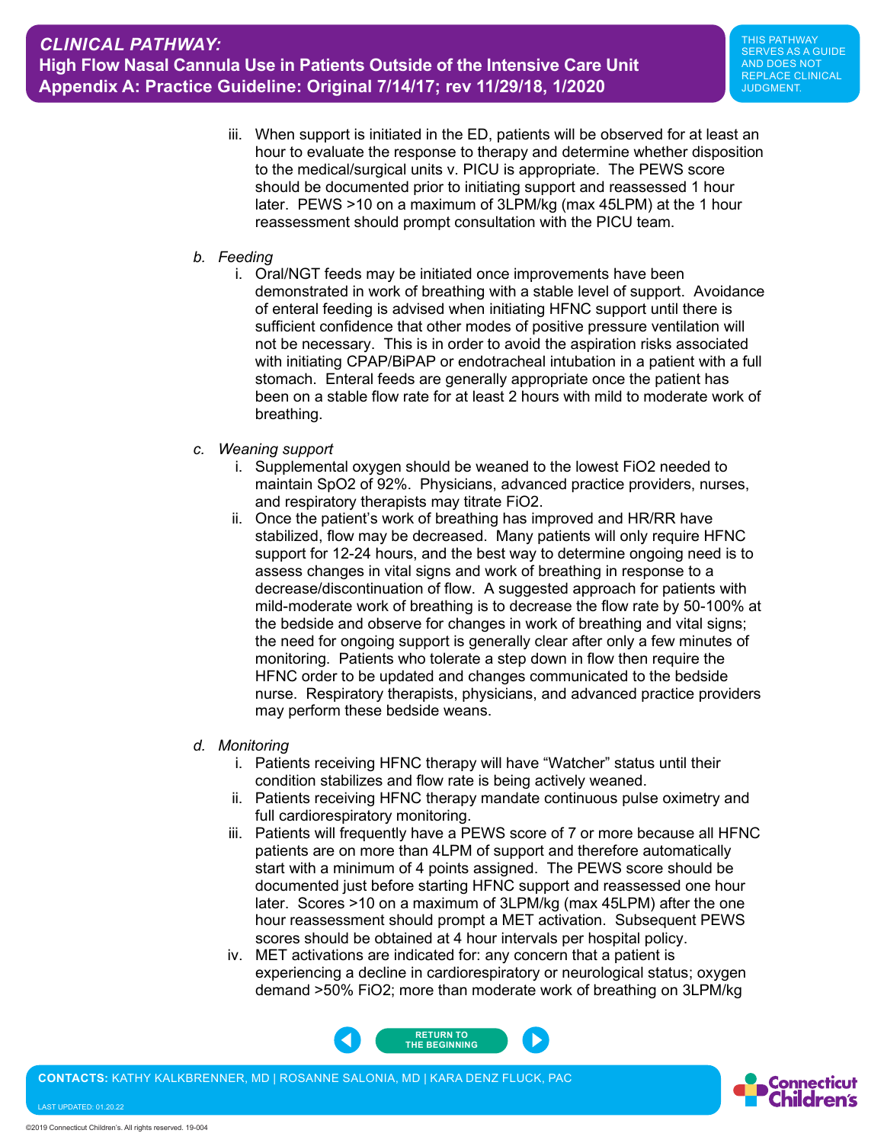iii. When support is initiated in the ED, patients will be observed for at least an hour to evaluate the response to therapy and determine whether disposition to the medical/surgical units v. PICU is appropriate. The PEWS score should be documented prior to initiating support and reassessed 1 hour later. PEWS >10 on a maximum of 3LPM/kg (max 45LPM) at the 1 hour reassessment should prompt consultation with the PICU team.

## *b. Feeding*

- i. Oral/NGT feeds may be initiated once improvements have been demonstrated in work of breathing with a stable level of support. Avoidance of enteral feeding is advised when initiating HFNC support until there is sufficient confidence that other modes of positive pressure ventilation will not be necessary. This is in order to avoid the aspiration risks associated with initiating CPAP/BiPAP or endotracheal intubation in a patient with a full stomach. Enteral feeds are generally appropriate once the patient has been on a stable flow rate for at least 2 hours with mild to moderate work of breathing.
- *c. Weaning support*
	- i. Supplemental oxygen should be weaned to the lowest FiO2 needed to maintain SpO2 of 92%. Physicians, advanced practice providers, nurses, and respiratory therapists may titrate FiO2.
	- ii. Once the patient's work of breathing has improved and HR/RR have stabilized, flow may be decreased. Many patients will only require HFNC support for 12-24 hours, and the best way to determine ongoing need is to assess changes in vital signs and work of breathing in response to a decrease/discontinuation of flow. A suggested approach for patients with mild-moderate work of breathing is to decrease the flow rate by 50-100% at the bedside and observe for changes in work of breathing and vital signs; the need for ongoing support is generally clear after only a few minutes of monitoring. Patients who tolerate a step down in flow then require the HFNC order to be updated and changes communicated to the bedside nurse. Respiratory therapists, physicians, and advanced practice providers may perform these bedside weans.
- *d. Monitoring*
	- i. Patients receiving HFNC therapy will have "Watcher" status until their condition stabilizes and flow rate is being actively weaned.
	- ii. Patients receiving HFNC therapy mandate continuous pulse oximetry and full cardiorespiratory monitoring.
	- iii. Patients will frequently have a PEWS score of 7 or more because all HFNC patients are on more than 4LPM of support and therefore automatically start with a minimum of 4 points assigned. The PEWS score should be documented just before starting HFNC support and reassessed one hour later. Scores >10 on a maximum of 3LPM/kg (max 45LPM) after the one hour reassessment should prompt a MET activation. Subsequent PEWS scores should be obtained at 4 hour intervals per hospital policy.
	- iv. MET activations are indicated for: any concern that a patient is experiencing a decline in cardiorespiratory or neurological status; oxygen demand >50% FiO2; more than moderate work of breathing on 3LPM/kg



**CONTACTS:** KATHY KALKBRENNER, MD | ROSANNE SALONIA, MD | KARA DENZ FLUCK, PAC